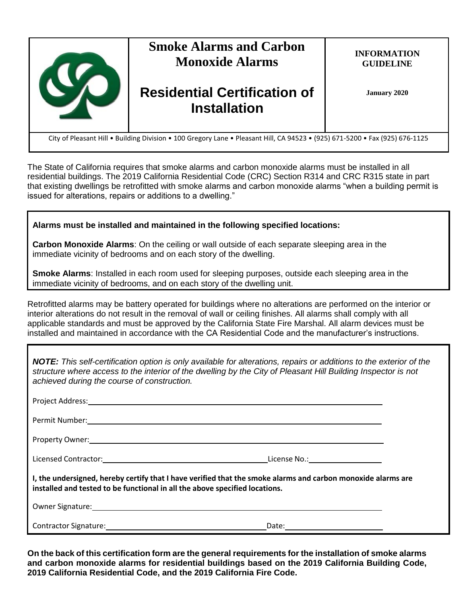

The State of California requires that smoke alarms and carbon monoxide alarms must be installed in all residential buildings. The 2019 California Residential Code (CRC) Section R314 and CRC R315 state in part that existing dwellings be retrofitted with smoke alarms and carbon monoxide alarms "when a building permit is issued for alterations, repairs or additions to a dwelling."

# **Alarms must be installed and maintained in the following specified locations:**

**Carbon Monoxide Alarms**: On the ceiling or wall outside of each separate sleeping area in the immediate vicinity of bedrooms and on each story of the dwelling.

**Smoke Alarms**: Installed in each room used for sleeping purposes, outside each sleeping area in the immediate vicinity of bedrooms, and on each story of the dwelling unit.

Retrofitted alarms may be battery operated for buildings where no alterations are performed on the interior or interior alterations do not result in the removal of wall or ceiling finishes. All alarms shall comply with all applicable standards and must be approved by the California State Fire Marshal. All alarm devices must be installed and maintained in accordance with the CA Residential Code and the manufacturer's instructions.

| <b>NOTE:</b> This self-certification option is only available for alterations, repairs or additions to the exterior of the<br>structure where access to the interior of the dwelling by the City of Pleasant Hill Building Inspector is not<br>achieved during the course of construction. |  |  |  |
|--------------------------------------------------------------------------------------------------------------------------------------------------------------------------------------------------------------------------------------------------------------------------------------------|--|--|--|
|                                                                                                                                                                                                                                                                                            |  |  |  |
| Permit Number: National Communication of the Communication of the Communication of the Communication of the Communication of the Communication of the Communication of the Communication of the Communication of the Communica                                                             |  |  |  |
| Property Owner: Note and the contract of the contract of the contract of the contract of the contract of the contract of the contract of the contract of the contract of the contract of the contract of the contract of the c                                                             |  |  |  |
|                                                                                                                                                                                                                                                                                            |  |  |  |
| I, the undersigned, hereby certify that I have verified that the smoke alarms and carbon monoxide alarms are<br>installed and tested to be functional in all the above specified locations.                                                                                                |  |  |  |
| Owner Signature: <u>contract and a series of the series of the series of the series of the series of the series of</u>                                                                                                                                                                     |  |  |  |
|                                                                                                                                                                                                                                                                                            |  |  |  |

**On the back of this certification form are the general requirements for the installation of smoke alarms and carbon monoxide alarms for residential buildings based on the 2019 California Building Code, 2019 California Residential Code, and the 2019 California Fire Code.**